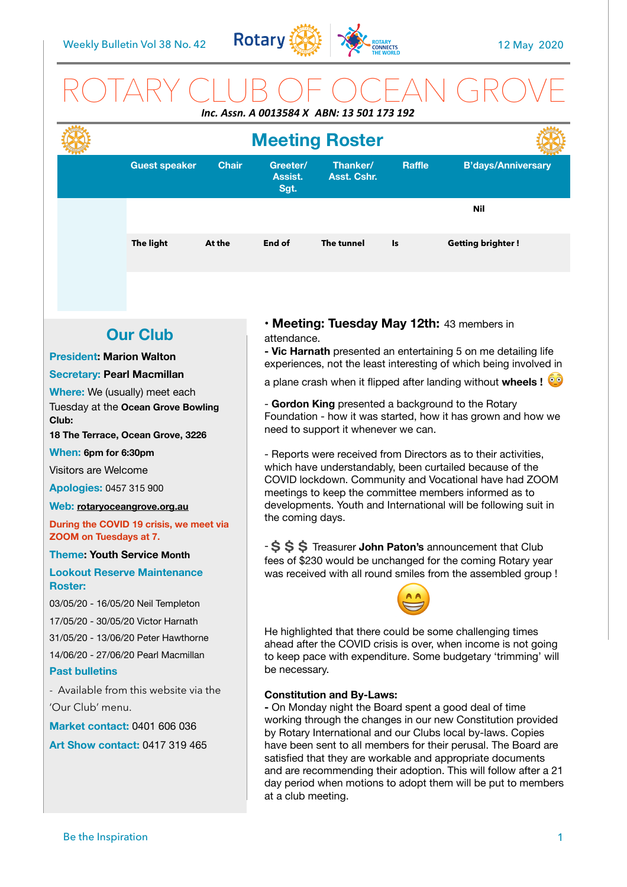

## ROTARY CLUB OF OCEAN GROVE *Inc. Assn. A 0013584 X ABN: 13 501 173 192*



## **Our Club**

#### **President: Marion Walton**

#### **Secretary: Pearl Macmillan**

**Where:** We (usually) meet each Tuesday at the **Ocean Grove Bowling Club:** 

**18 The Terrace, Ocean Grove, 3226** 

#### **When: 6pm for 6:30pm**

Visitors are Welcome

**Apologies:** 0457 315 900

#### **Web: [rotaryoceangrove.org.au](http://rotaryoceangrove.org.au)**

**During the COVID 19 crisis, we meet via ZOOM on Tuesdays at 7.**

**Theme: Youth Service Month** 

**Lookout Reserve Maintenance Roster:** 

03/05/20 - 16/05/20 Neil Templeton

17/05/20 - 30/05/20 Victor Harnath

31/05/20 - 13/06/20 Peter Hawthorne

14/06/20 - 27/06/20 Pearl Macmillan

#### **Past bulletins**

- Available from this website via the 'Our Club' menu.

**Market contact:** 0401 606 036

**Art Show contact:** 0417 319 465

**• Meeting: Tuesday May 12th:** 43 members in attendance.

**- Vic Harnath** presented an entertaining 5 on me detailing life experiences, not the least interesting of which being involved in

a plane crash when it flipped after landing without **wheels !**

- **Gordon King** presented a background to the Rotary Foundation - how it was started, how it has grown and how we need to support it whenever we can.

- Reports were received from Directors as to their activities, which have understandably, been curtailed because of the COVID lockdown. Community and Vocational have had ZOOM meetings to keep the committee members informed as to developments. Youth and International will be following suit in the coming days.

-  $\sin 5$   $\sin 7$  Treasurer **John Paton's** announcement that Club fees of \$230 would be unchanged for the coming Rotary year was received with all round smiles from the assembled group !



He highlighted that there could be some challenging times ahead after the COVID crisis is over, when income is not going to keep pace with expenditure. Some budgetary 'trimming' will be necessary.

#### **Constitution and By-Laws:**

**-** On Monday night the Board spent a good deal of time working through the changes in our new Constitution provided by Rotary International and our Clubs local by-laws. Copies have been sent to all members for their perusal. The Board are satisfied that they are workable and appropriate documents and are recommending their adoption. This will follow after a 21 day period when motions to adopt them will be put to members at a club meeting.